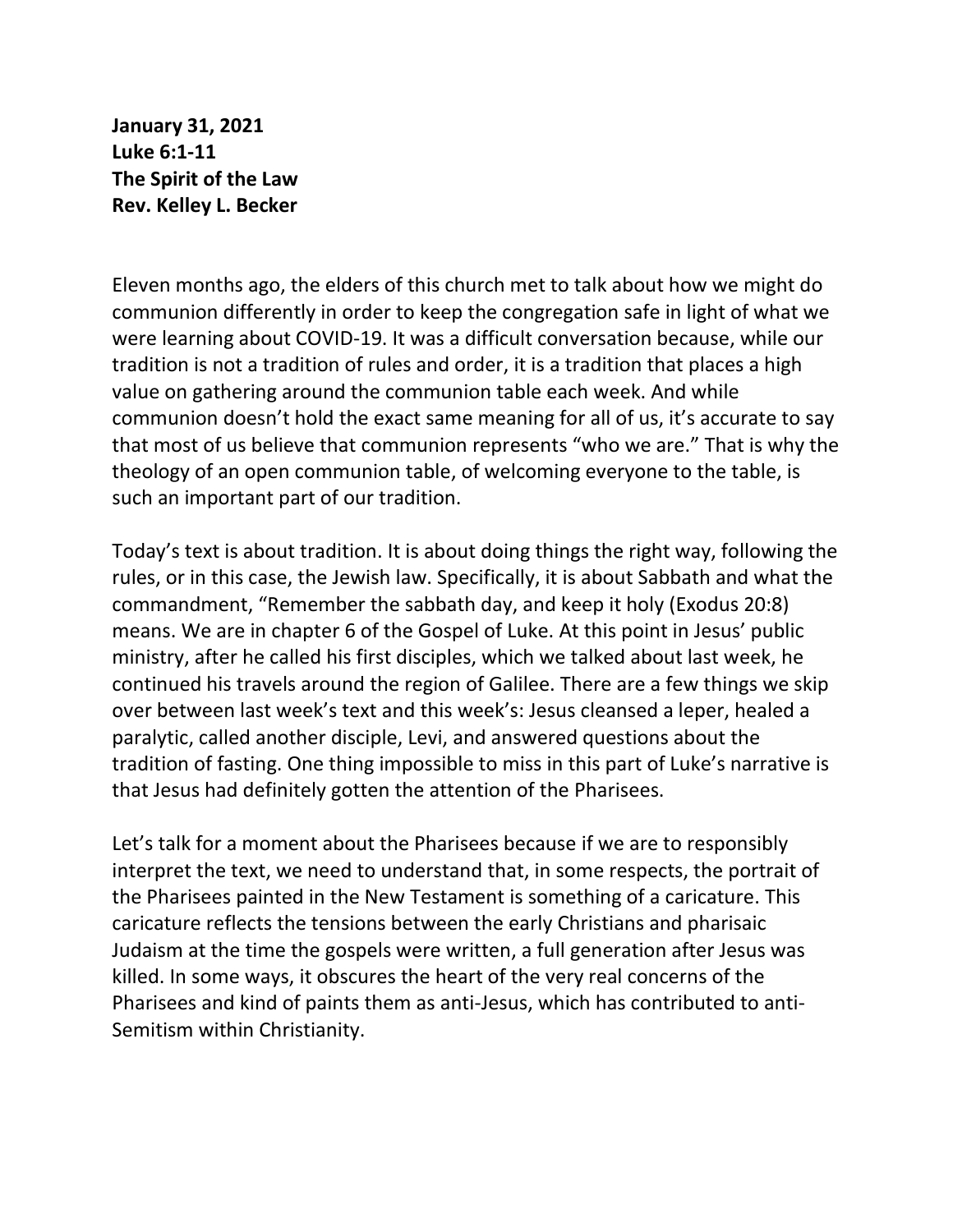**January 31, 2021 Luke 6:1-11 The Spirit of the Law Rev. Kelley L. Becker**

Eleven months ago, the elders of this church met to talk about how we might do communion differently in order to keep the congregation safe in light of what we were learning about COVID-19. It was a difficult conversation because, while our tradition is not a tradition of rules and order, it is a tradition that places a high value on gathering around the communion table each week. And while communion doesn't hold the exact same meaning for all of us, it's accurate to say that most of us believe that communion represents "who we are." That is why the theology of an open communion table, of welcoming everyone to the table, is such an important part of our tradition.

Today's text is about tradition. It is about doing things the right way, following the rules, or in this case, the Jewish law. Specifically, it is about Sabbath and what the commandment, "Remember the sabbath day, and keep it holy (Exodus 20:8) means. We are in chapter 6 of the Gospel of Luke. At this point in Jesus' public ministry, after he called his first disciples, which we talked about last week, he continued his travels around the region of Galilee. There are a few things we skip over between last week's text and this week's: Jesus cleansed a leper, healed a paralytic, called another disciple, Levi, and answered questions about the tradition of fasting. One thing impossible to miss in this part of Luke's narrative is that Jesus had definitely gotten the attention of the Pharisees.

Let's talk for a moment about the Pharisees because if we are to responsibly interpret the text, we need to understand that, in some respects, the portrait of the Pharisees painted in the New Testament is something of a caricature. This caricature reflects the tensions between the early Christians and pharisaic Judaism at the time the gospels were written, a full generation after Jesus was killed. In some ways, it obscures the heart of the very real concerns of the Pharisees and kind of paints them as anti-Jesus, which has contributed to anti-Semitism within Christianity.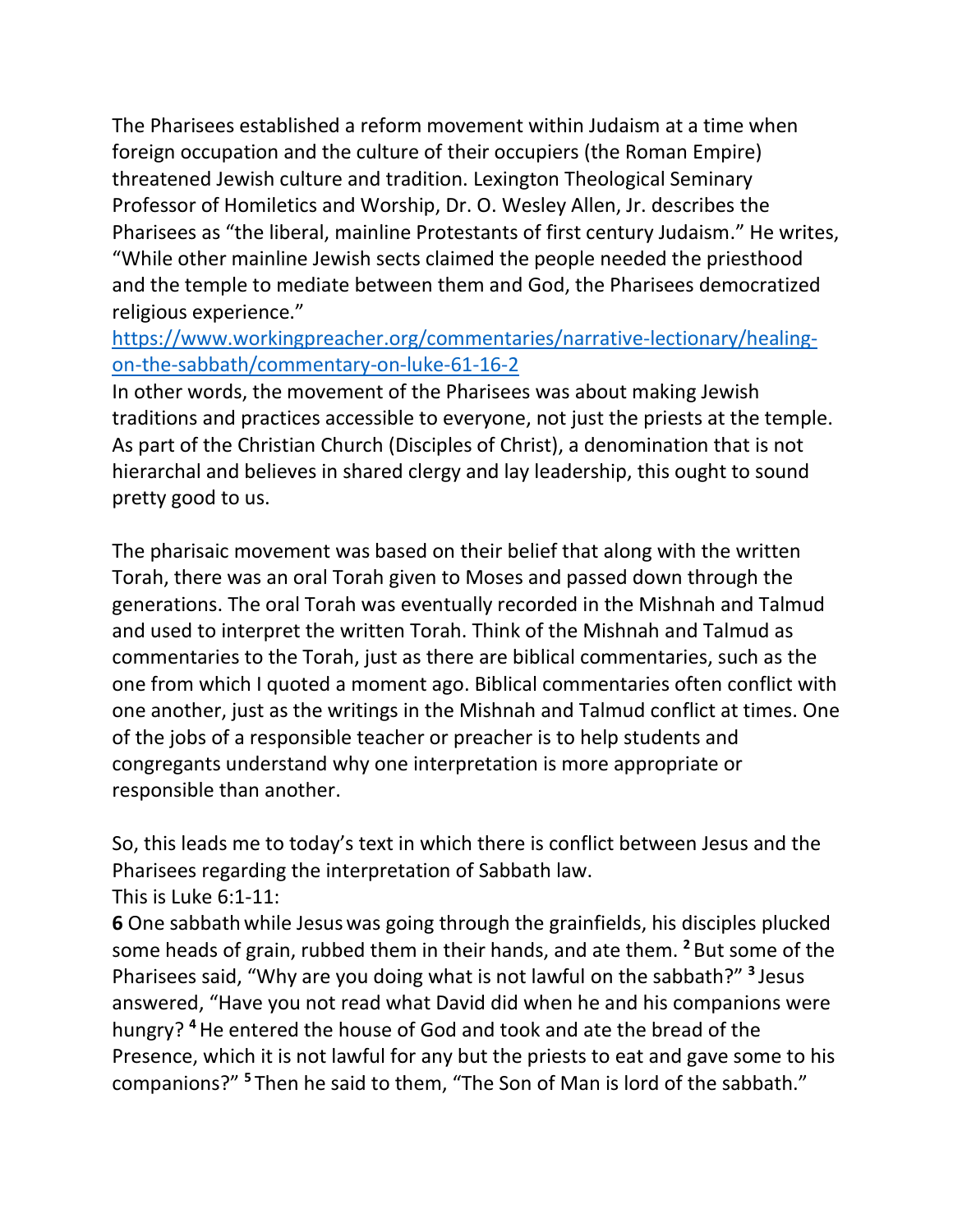The Pharisees established a reform movement within Judaism at a time when foreign occupation and the culture of their occupiers (the Roman Empire) threatened Jewish culture and tradition. Lexington Theological Seminary Professor of Homiletics and Worship, Dr. O. Wesley Allen, Jr. describes the Pharisees as "the liberal, mainline Protestants of first century Judaism." He writes, "While other mainline Jewish sects claimed the people needed the priesthood and the temple to mediate between them and God, the Pharisees democratized religious experience."

## [https://www.workingpreacher.org/commentaries/narrative-lectionary/healing](https://www.workingpreacher.org/commentaries/narrative-lectionary/healing-on-the-sabbath/commentary-on-luke-61-16-2)[on-the-sabbath/commentary-on-luke-61-16-2](https://www.workingpreacher.org/commentaries/narrative-lectionary/healing-on-the-sabbath/commentary-on-luke-61-16-2)

In other words, the movement of the Pharisees was about making Jewish traditions and practices accessible to everyone, not just the priests at the temple. As part of the Christian Church (Disciples of Christ), a denomination that is not hierarchal and believes in shared clergy and lay leadership, this ought to sound pretty good to us.

The pharisaic movement was based on their belief that along with the written Torah, there was an oral Torah given to Moses and passed down through the generations. The oral Torah was eventually recorded in the Mishnah and Talmud and used to interpret the written Torah. Think of the Mishnah and Talmud as commentaries to the Torah, just as there are biblical commentaries, such as the one from which I quoted a moment ago. Biblical commentaries often conflict with one another, just as the writings in the Mishnah and Talmud conflict at times. One of the jobs of a responsible teacher or preacher is to help students and congregants understand why one interpretation is more appropriate or responsible than another.

So, this leads me to today's text in which there is conflict between Jesus and the Pharisees regarding the interpretation of Sabbath law. This is Luke 6:1-11:

**6** One sabbath while Jesuswas going through the grainfields, his disciples plucked some heads of grain, rubbed them in their hands, and ate them. **<sup>2</sup>** But some of the Pharisees said, "Why are you doing what is not lawful on the sabbath?" **<sup>3</sup>** Jesus answered, "Have you not read what David did when he and his companions were hungry? **<sup>4</sup>**He entered the house of God and took and ate the bread of the Presence, which it is not lawful for any but the priests to eat and gave some to his companions?" **<sup>5</sup>** Then he said to them, "The Son of Man is lord of the sabbath."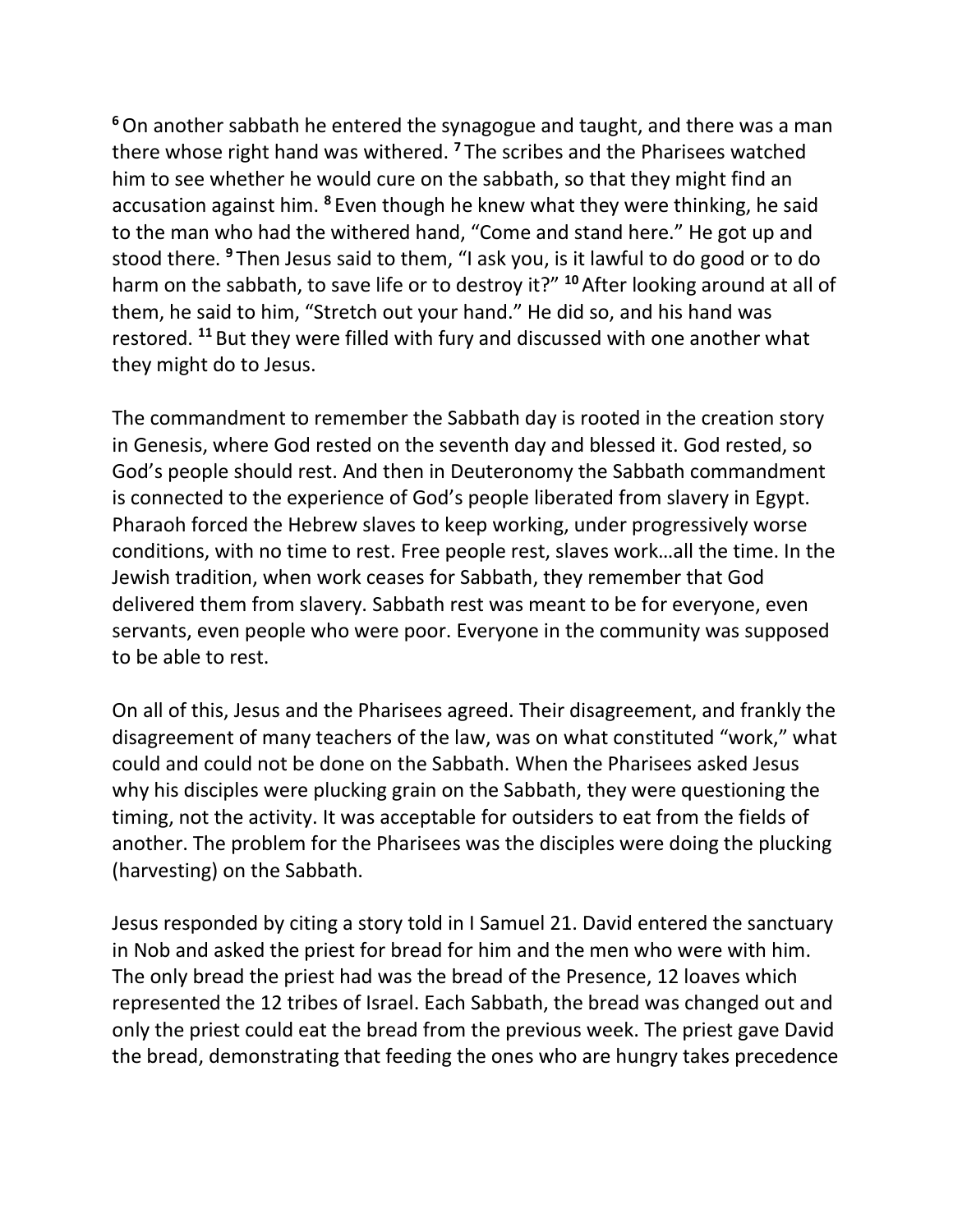**<sup>6</sup>**On another sabbath he entered the synagogue and taught, and there was a man there whose right hand was withered. **<sup>7</sup>** The scribes and the Pharisees watched him to see whether he would cure on the sabbath, so that they might find an accusation against him. **<sup>8</sup>** Even though he knew what they were thinking, he said to the man who had the withered hand, "Come and stand here." He got up and stood there. **<sup>9</sup>** Then Jesus said to them, "I ask you, is it lawful to do good or to do harm on the sabbath, to save life or to destroy it?" **<sup>10</sup>** After looking around at all of them, he said to him, "Stretch out your hand." He did so, and his hand was restored. **<sup>11</sup>** But they were filled with fury and discussed with one another what they might do to Jesus.

The commandment to remember the Sabbath day is rooted in the creation story in Genesis, where God rested on the seventh day and blessed it. God rested, so God's people should rest. And then in Deuteronomy the Sabbath commandment is connected to the experience of God's people liberated from slavery in Egypt. Pharaoh forced the Hebrew slaves to keep working, under progressively worse conditions, with no time to rest. Free people rest, slaves work…all the time. In the Jewish tradition, when work ceases for Sabbath, they remember that God delivered them from slavery. Sabbath rest was meant to be for everyone, even servants, even people who were poor. Everyone in the community was supposed to be able to rest.

On all of this, Jesus and the Pharisees agreed. Their disagreement, and frankly the disagreement of many teachers of the law, was on what constituted "work," what could and could not be done on the Sabbath. When the Pharisees asked Jesus why his disciples were plucking grain on the Sabbath, they were questioning the timing, not the activity. It was acceptable for outsiders to eat from the fields of another. The problem for the Pharisees was the disciples were doing the plucking (harvesting) on the Sabbath.

Jesus responded by citing a story told in I Samuel 21. David entered the sanctuary in Nob and asked the priest for bread for him and the men who were with him. The only bread the priest had was the bread of the Presence, 12 loaves which represented the 12 tribes of Israel. Each Sabbath, the bread was changed out and only the priest could eat the bread from the previous week. The priest gave David the bread, demonstrating that feeding the ones who are hungry takes precedence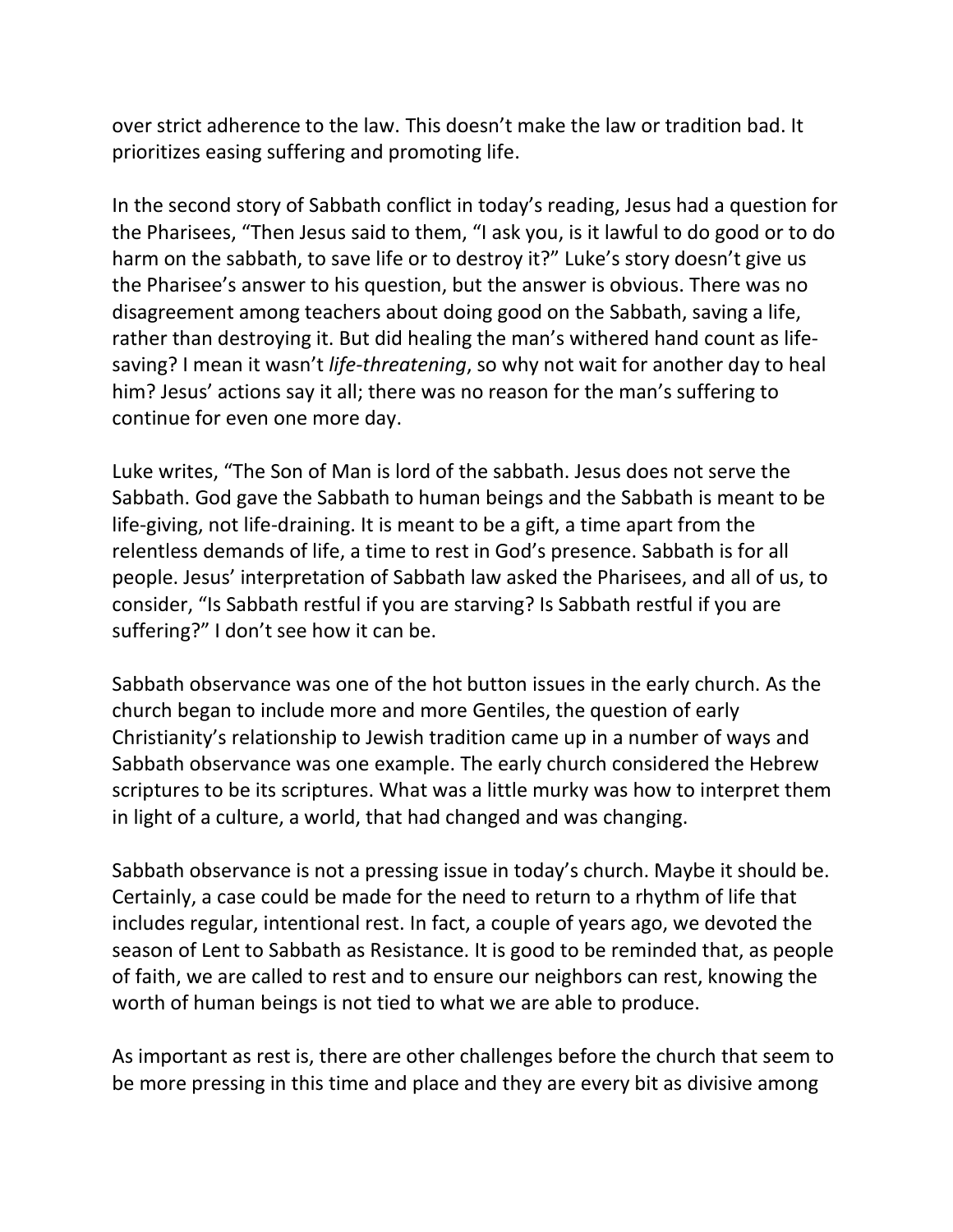over strict adherence to the law. This doesn't make the law or tradition bad. It prioritizes easing suffering and promoting life.

In the second story of Sabbath conflict in today's reading, Jesus had a question for the Pharisees, "Then Jesus said to them, "I ask you, is it lawful to do good or to do harm on the sabbath, to save life or to destroy it?" Luke's story doesn't give us the Pharisee's answer to his question, but the answer is obvious. There was no disagreement among teachers about doing good on the Sabbath, saving a life, rather than destroying it. But did healing the man's withered hand count as lifesaving? I mean it wasn't *life-threatening*, so why not wait for another day to heal him? Jesus' actions say it all; there was no reason for the man's suffering to continue for even one more day.

Luke writes, "The Son of Man is lord of the sabbath. Jesus does not serve the Sabbath. God gave the Sabbath to human beings and the Sabbath is meant to be life-giving, not life-draining. It is meant to be a gift, a time apart from the relentless demands of life, a time to rest in God's presence. Sabbath is for all people. Jesus' interpretation of Sabbath law asked the Pharisees, and all of us, to consider, "Is Sabbath restful if you are starving? Is Sabbath restful if you are suffering?" I don't see how it can be.

Sabbath observance was one of the hot button issues in the early church. As the church began to include more and more Gentiles, the question of early Christianity's relationship to Jewish tradition came up in a number of ways and Sabbath observance was one example. The early church considered the Hebrew scriptures to be its scriptures. What was a little murky was how to interpret them in light of a culture, a world, that had changed and was changing.

Sabbath observance is not a pressing issue in today's church. Maybe it should be. Certainly, a case could be made for the need to return to a rhythm of life that includes regular, intentional rest. In fact, a couple of years ago, we devoted the season of Lent to Sabbath as Resistance. It is good to be reminded that, as people of faith, we are called to rest and to ensure our neighbors can rest, knowing the worth of human beings is not tied to what we are able to produce.

As important as rest is, there are other challenges before the church that seem to be more pressing in this time and place and they are every bit as divisive among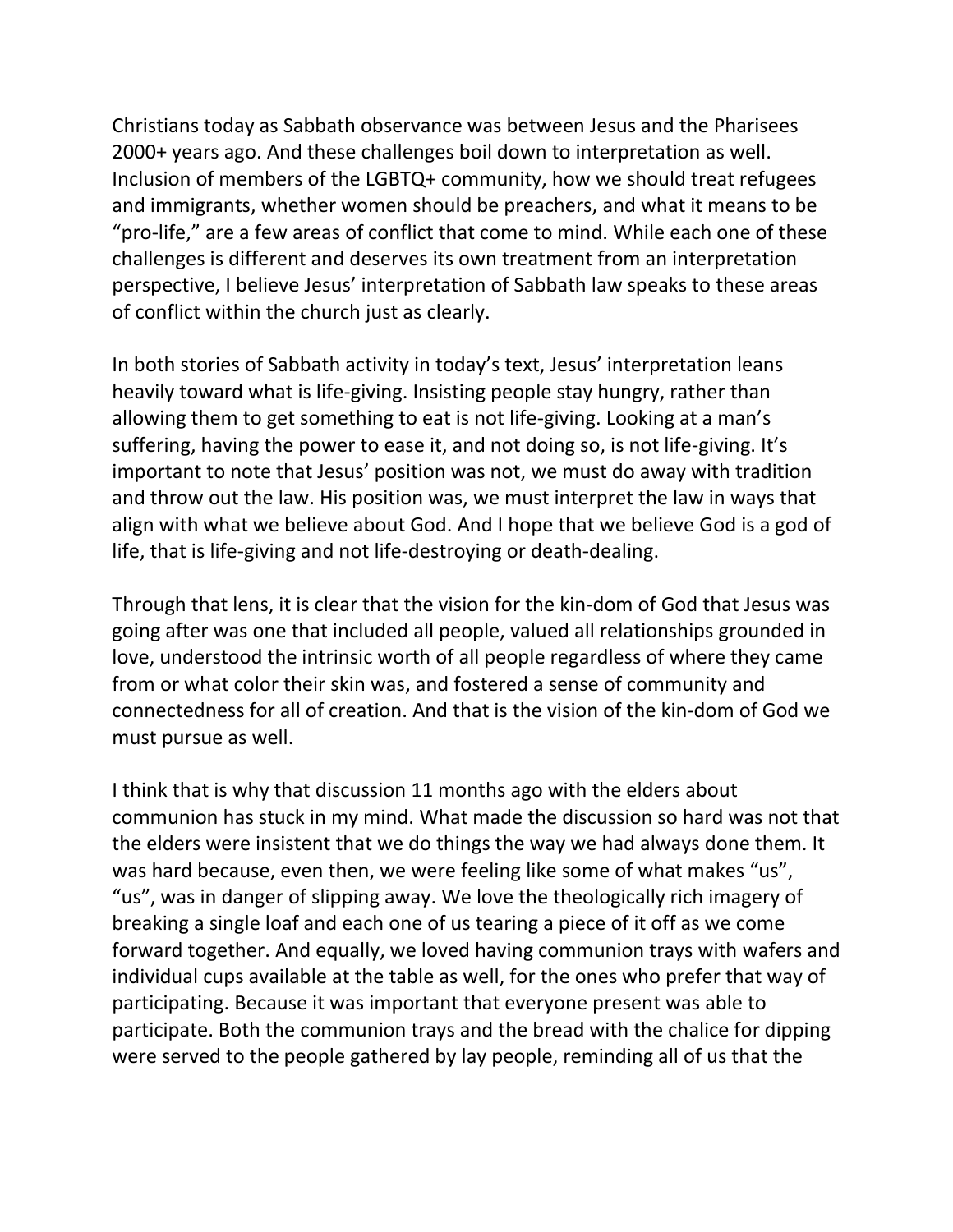Christians today as Sabbath observance was between Jesus and the Pharisees 2000+ years ago. And these challenges boil down to interpretation as well. Inclusion of members of the LGBTQ+ community, how we should treat refugees and immigrants, whether women should be preachers, and what it means to be "pro-life," are a few areas of conflict that come to mind. While each one of these challenges is different and deserves its own treatment from an interpretation perspective, I believe Jesus' interpretation of Sabbath law speaks to these areas of conflict within the church just as clearly.

In both stories of Sabbath activity in today's text, Jesus' interpretation leans heavily toward what is life-giving. Insisting people stay hungry, rather than allowing them to get something to eat is not life-giving. Looking at a man's suffering, having the power to ease it, and not doing so, is not life-giving. It's important to note that Jesus' position was not, we must do away with tradition and throw out the law. His position was, we must interpret the law in ways that align with what we believe about God. And I hope that we believe God is a god of life, that is life-giving and not life-destroying or death-dealing.

Through that lens, it is clear that the vision for the kin-dom of God that Jesus was going after was one that included all people, valued all relationships grounded in love, understood the intrinsic worth of all people regardless of where they came from or what color their skin was, and fostered a sense of community and connectedness for all of creation. And that is the vision of the kin-dom of God we must pursue as well.

I think that is why that discussion 11 months ago with the elders about communion has stuck in my mind. What made the discussion so hard was not that the elders were insistent that we do things the way we had always done them. It was hard because, even then, we were feeling like some of what makes "us", "us", was in danger of slipping away. We love the theologically rich imagery of breaking a single loaf and each one of us tearing a piece of it off as we come forward together. And equally, we loved having communion trays with wafers and individual cups available at the table as well, for the ones who prefer that way of participating. Because it was important that everyone present was able to participate. Both the communion trays and the bread with the chalice for dipping were served to the people gathered by lay people, reminding all of us that the